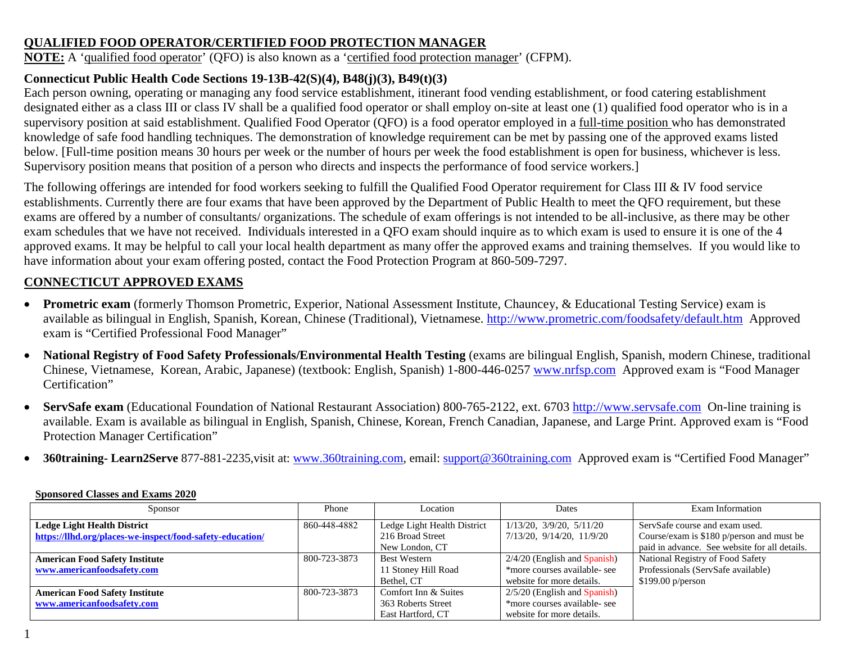### **QUALIFIED FOOD OPERATOR/CERTIFIED FOOD PROTECTION MANAGER**

**NOTE:** A 'qualified food operator' (QFO) is also known as a 'certified food protection manager' (CFPM).

# **Connecticut Public Health Code Sections 19-13B-42(S)(4), B48(j)(3), B49(t)(3)**

Each person owning, operating or managing any food service establishment, itinerant food vending establishment, or food catering establishment designated either as a class III or class IV shall be a qualified food operator or shall employ on-site at least one (1) qualified food operator who is in a supervisory position at said establishment. Qualified Food Operator (QFO) is a food operator employed in a full-time position who has demonstrated knowledge of safe food handling techniques. The demonstration of knowledge requirement can be met by passing one of the approved exams listed below. [Full-time position means 30 hours per week or the number of hours per week the food establishment is open for business, whichever is less. Supervisory position means that position of a person who directs and inspects the performance of food service workers.]

The following offerings are intended for food workers seeking to fulfill the Qualified Food Operator requirement for Class III & IV food service establishments. Currently there are four exams that have been approved by the Department of Public Health to meet the QFO requirement, but these exams are offered by a number of consultants/ organizations. The schedule of exam offerings is not intended to be all-inclusive, as there may be other exam schedules that we have not received. Individuals interested in a QFO exam should inquire as to which exam is used to ensure it is one of the 4 approved exams. It may be helpful to call your local health department as many offer the approved exams and training themselves. If you would like to have information about your exam offering posted, contact the Food Protection Program at 860-509-7297.

# **CONNECTICUT APPROVED EXAMS**

- **Prometric exam** (formerly Thomson Prometric, Experior, National Assessment Institute, Chauncey, & Educational Testing Service) exam is available as bilingual in English, Spanish, Korean, Chinese (Traditional), Vietnamese.<http://www.prometric.com/foodsafety/default.htm>Approved exam is "Certified Professional Food Manager"
- National Registry of Food Safety Professionals/Environmental Health Testing (exams are bilingual English, Spanish, modern Chinese, traditional Chinese, Vietnamese, Korean, Arabic, Japanese) (textbook: English, Spanish) 1-800-446-0257 [www.nrfsp.com](http://www.nrfsp.com/) Approved exam is "Food Manager Certification"
- **ServSafe exam** (Educational Foundation of National Restaurant Association) 800-765-2122, ext. 6703 [http://www.servsafe.com](http://www.servsafe.com/) On-line training is available. Exam is available as bilingual in English, Spanish, Chinese, Korean, French Canadian, Japanese, and Large Print. Approved exam is "Food Protection Manager Certification"
- **360training- Learn2Serve** 877-881-2235,visit at: [www.360training.com,](http://www.360training.com/) email: [support@360training.com](mailto:support@360training.com) Approved exam is "Certified Food Manager"

| Sponsor                                                   | Phone        | Location                    | <b>Dates</b>                     | Exam Information                              |
|-----------------------------------------------------------|--------------|-----------------------------|----------------------------------|-----------------------------------------------|
| <b>Ledge Light Health District</b>                        | 860-448-4882 | Ledge Light Health District | $1/13/20$ , $3/9/20$ , $5/11/20$ | ServSafe course and exam used.                |
| https://llhd.org/places-we-inspect/food-safety-education/ |              | 216 Broad Street            | 7/13/20, 9/14/20, 11/9/20        | Course/exam is \$180 p/person and must be     |
|                                                           |              | New London, CT              |                                  | paid in advance. See website for all details. |
| <b>American Food Safety Institute</b>                     | 800-723-3873 | <b>Best Western</b>         | $2/4/20$ (English and Spanish)   | National Registry of Food Safety              |
| www.americanfoodsafety.com                                |              | 11 Stoney Hill Road         | *more courses available- see     | Professionals (ServSafe available)            |
|                                                           |              | Bethel, CT                  | website for more details.        | \$199.00 p/person                             |
| <b>American Food Safety Institute</b>                     | 800-723-3873 | Comfort Inn & Suites        | $2/5/20$ (English and Spanish)   |                                               |
| www.americanfoodsafety.com                                |              | 363 Roberts Street          | *more courses available- see     |                                               |
|                                                           |              | East Hartford, CT           | website for more details.        |                                               |

### **Sponsored Classes and Exams 2020**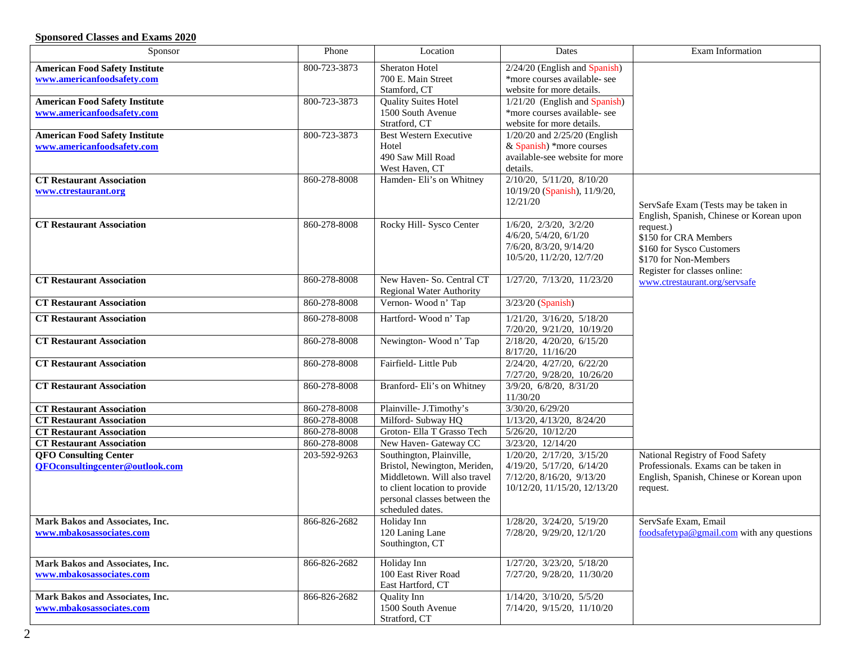### **Sponsored Classes and Exams 2020**

| Sponsor                                | Phone        | Location                        | Dates                             | Exam Information                          |
|----------------------------------------|--------------|---------------------------------|-----------------------------------|-------------------------------------------|
| <b>American Food Safety Institute</b>  | 800-723-3873 | Sheraton Hotel                  | 2/24/20 (English and Spanish)     |                                           |
| www.americanfoodsafety.com             |              | 700 E. Main Street              | *more courses available- see      |                                           |
|                                        |              | Stamford, CT                    | website for more details.         |                                           |
| <b>American Food Safety Institute</b>  | 800-723-3873 | <b>Quality Suites Hotel</b>     | $1/21/20$ (English and Spanish)   |                                           |
| www.americanfoodsafety.com             |              | 1500 South Avenue               | *more courses available- see      |                                           |
|                                        |              | Stratford, CT                   | website for more details.         |                                           |
| <b>American Food Safety Institute</b>  | 800-723-3873 | <b>Best Western Executive</b>   | 1/20/20 and 2/25/20 (English      |                                           |
| www.americanfoodsafety.com             |              | Hotel                           | & Spanish) *more courses          |                                           |
|                                        |              | 490 Saw Mill Road               | available-see website for more    |                                           |
|                                        |              | West Haven, CT                  | details.                          |                                           |
| <b>CT Restaurant Association</b>       | 860-278-8008 | Hamden- Eli's on Whitney        | 2/10/20, 5/11/20, 8/10/20         |                                           |
| www.ctrestaurant.org                   |              |                                 | 10/19/20 (Spanish), 11/9/20,      |                                           |
|                                        |              |                                 | 12/21/20                          | ServSafe Exam (Tests may be taken in      |
|                                        |              |                                 |                                   | English, Spanish, Chinese or Korean upon  |
| <b>CT Restaurant Association</b>       | 860-278-8008 | Rocky Hill- Sysco Center        | $1/6/20$ , $2/3/20$ , $3/2/20$    | request.)                                 |
|                                        |              |                                 | $4/6/20$ , $5/4/20$ , $6/1/20$    | \$150 for CRA Members                     |
|                                        |              |                                 | 7/6/20, 8/3/20, 9/14/20           | \$160 for Sysco Customers                 |
|                                        |              |                                 | 10/5/20, 11/2/20, 12/7/20         | \$170 for Non-Members                     |
|                                        |              |                                 |                                   | Register for classes online:              |
| <b>CT Restaurant Association</b>       | 860-278-8008 | New Haven- So. Central CT       | 1/27/20, 7/13/20, 11/23/20        | www.ctrestaurant.org/servsafe             |
|                                        |              | <b>Regional Water Authority</b> |                                   |                                           |
| <b>CT Restaurant Association</b>       | 860-278-8008 | Vernon-Wood n' Tap              | 3/23/20 (Spanish)                 |                                           |
| <b>CT Restaurant Association</b>       | 860-278-8008 | Hartford-Wood n' Tap            | $1/21/20$ , $3/16/20$ , $5/18/20$ |                                           |
|                                        |              |                                 | 7/20/20, 9/21/20, 10/19/20        |                                           |
| <b>CT Restaurant Association</b>       | 860-278-8008 | Newington-Wood n' Tap           | 2/18/20, 4/20/20, 6/15/20         |                                           |
|                                        |              |                                 | 8/17/20, 11/16/20                 |                                           |
| <b>CT Restaurant Association</b>       | 860-278-8008 | Fairfield-Little Pub            | 2/24/20, 4/27/20, 6/22/20         |                                           |
|                                        |              |                                 | 7/27/20, 9/28/20, 10/26/20        |                                           |
| <b>CT Restaurant Association</b>       | 860-278-8008 | Branford- Eli's on Whitney      | 3/9/20, 6/8/20, 8/31/20           |                                           |
|                                        |              |                                 | 11/30/20                          |                                           |
| <b>CT Restaurant Association</b>       | 860-278-8008 | Plainville- J.Timothy's         | 3/30/20, 6/29/20                  |                                           |
| <b>CT Restaurant Association</b>       | 860-278-8008 | Milford- Subway HQ              | 1/13/20, 4/13/20, 8/24/20         |                                           |
| <b>CT Restaurant Association</b>       | 860-278-8008 | Groton- Ella T Grasso Tech      | 5/26/20, 10/12/20                 |                                           |
| <b>CT Restaurant Association</b>       | 860-278-8008 | New Haven- Gateway CC           | 3/23/20, 12/14/20                 |                                           |
| <b>QFO Consulting Center</b>           | 203-592-9263 | Southington, Plainville,        | 1/20/20, 2/17/20, 3/15/20         | National Registry of Food Safety          |
| <b>QFOconsultingcenter@outlook.com</b> |              | Bristol, Newington, Meriden,    | 4/19/20, 5/17/20, 6/14/20         | Professionals. Exams can be taken in      |
|                                        |              | Middletown. Will also travel    | 7/12/20, 8/16/20, 9/13/20         | English, Spanish, Chinese or Korean upon  |
|                                        |              | to client location to provide   | 10/12/20, 11/15/20, 12/13/20      | request.                                  |
|                                        |              | personal classes between the    |                                   |                                           |
|                                        |              | scheduled dates.                |                                   |                                           |
| Mark Bakos and Associates, Inc.        | 866-826-2682 | Holiday Inn                     | 1/28/20, 3/24/20, 5/19/20         | ServSafe Exam, Email                      |
| www.mbakosassociates.com               |              | 120 Laning Lane                 | 7/28/20, 9/29/20, 12/1/20         | foodsafetypa@gmail.com with any questions |
|                                        |              | Southington, CT                 |                                   |                                           |
| Mark Bakos and Associates, Inc.        | 866-826-2682 | Holiday Inn                     | 1/27/20, 3/23/20, 5/18/20         |                                           |
| www.mbakosassociates.com               |              | 100 East River Road             | 7/27/20, 9/28/20, 11/30/20        |                                           |
|                                        |              | East Hartford, CT               |                                   |                                           |
| Mark Bakos and Associates, Inc.        | 866-826-2682 | Quality Inn                     | $1/14/20$ , $3/10/20$ , $5/5/20$  |                                           |
| www.mbakosassociates.com               |              | 1500 South Avenue               | 7/14/20, 9/15/20, 11/10/20        |                                           |
|                                        |              | Stratford, CT                   |                                   |                                           |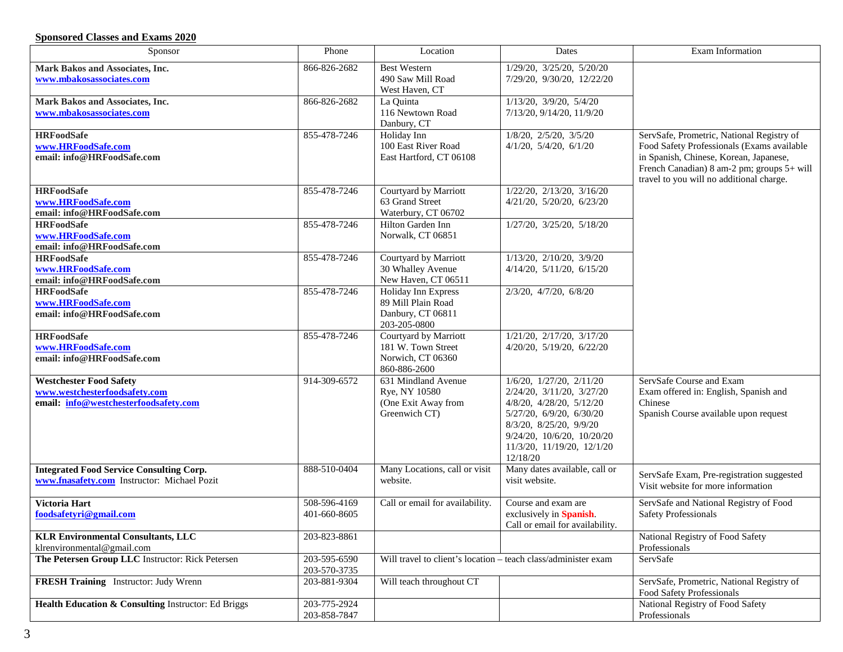### **Sponsored Classes and Exams 2020**

| Sponsor                                             | Phone        | Location                                                       | Dates                             | Exam Information                                                                       |
|-----------------------------------------------------|--------------|----------------------------------------------------------------|-----------------------------------|----------------------------------------------------------------------------------------|
| Mark Bakos and Associates, Inc.                     | 866-826-2682 | <b>Best Western</b>                                            | 1/29/20, 3/25/20, 5/20/20         |                                                                                        |
| www.mbakosassociates.com                            |              | 490 Saw Mill Road                                              | 7/29/20, 9/30/20, 12/22/20        |                                                                                        |
|                                                     |              | West Haven, CT                                                 |                                   |                                                                                        |
| Mark Bakos and Associates, Inc.                     | 866-826-2682 | La Quinta                                                      | $1/13/20$ , $3/9/20$ , $5/4/20$   |                                                                                        |
| www.mbakosassociates.com                            |              | 116 Newtown Road                                               | 7/13/20, 9/14/20, 11/9/20         |                                                                                        |
|                                                     |              | Danbury, CT                                                    |                                   |                                                                                        |
| <b>HRFoodSafe</b>                                   | 855-478-7246 | Holiday Inn                                                    | $1/8/20$ , $2/5/20$ , $3/5/20$    | ServSafe, Prometric, National Registry of                                              |
| www.HRFoodSafe.com                                  |              | 100 East River Road                                            | $4/1/20$ , $5/4/20$ , $6/1/20$    | Food Safety Professionals (Exams available                                             |
| email: info@HRFoodSafe.com                          |              | East Hartford, CT 06108                                        |                                   | in Spanish, Chinese, Korean, Japanese,                                                 |
|                                                     |              |                                                                |                                   | French Canadian) 8 am-2 pm; groups 5+ will<br>travel to you will no additional charge. |
| <b>HRFoodSafe</b>                                   | 855-478-7246 | Courtyard by Marriott                                          | $1/22/20$ , $2/13/20$ , $3/16/20$ |                                                                                        |
| www.HRFoodSafe.com                                  |              | 63 Grand Street                                                | 4/21/20, 5/20/20, 6/23/20         |                                                                                        |
| email: info@HRFoodSafe.com                          |              | Waterbury, CT 06702                                            |                                   |                                                                                        |
| <b>HRFoodSafe</b>                                   | 855-478-7246 | Hilton Garden Inn                                              | 1/27/20, 3/25/20, 5/18/20         |                                                                                        |
| www.HRFoodSafe.com                                  |              | Norwalk, CT 06851                                              |                                   |                                                                                        |
| email: info@HRFoodSafe.com                          |              |                                                                |                                   |                                                                                        |
| <b>HRFoodSafe</b>                                   | 855-478-7246 | Courtyard by Marriott                                          | 1/13/20, 2/10/20, 3/9/20          |                                                                                        |
| www.HRFoodSafe.com                                  |              | 30 Whalley Avenue                                              | 4/14/20, 5/11/20, 6/15/20         |                                                                                        |
| email: info@HRFoodSafe.com                          |              | New Haven, CT 06511                                            |                                   |                                                                                        |
| <b>HRFoodSafe</b>                                   | 855-478-7246 | Holiday Inn Express                                            | 2/3/20, 4/7/20, 6/8/20            |                                                                                        |
| www.HRFoodSafe.com                                  |              | 89 Mill Plain Road                                             |                                   |                                                                                        |
| email: info@HRFoodSafe.com                          |              | Danbury, CT 06811                                              |                                   |                                                                                        |
|                                                     |              | 203-205-0800                                                   | $1/21/20$ , $2/17/20$ , $3/17/20$ |                                                                                        |
| <b>HRFoodSafe</b><br>www.HRFoodSafe.com             | 855-478-7246 | Courtyard by Marriott<br>181 W. Town Street                    | 4/20/20, 5/19/20, 6/22/20         |                                                                                        |
| email: info@HRFoodSafe.com                          |              | Norwich, CT 06360                                              |                                   |                                                                                        |
|                                                     |              | 860-886-2600                                                   |                                   |                                                                                        |
| <b>Westchester Food Safety</b>                      | 914-309-6572 | 631 Mindland Avenue                                            | $1/6/20$ , $1/27/20$ , $2/11/20$  | ServSafe Course and Exam                                                               |
| www.westchesterfoodsafety.com                       |              | Rye, NY 10580                                                  | 2/24/20, 3/11/20, 3/27/20         | Exam offered in: English, Spanish and                                                  |
| email: info@westchesterfoodsafety.com               |              | (One Exit Away from                                            | 4/8/20, 4/28/20, 5/12/20          | Chinese                                                                                |
|                                                     |              | Greenwich CT)                                                  | 5/27/20, 6/9/20, 6/30/20          | Spanish Course available upon request                                                  |
|                                                     |              |                                                                | 8/3/20, 8/25/20, 9/9/20           |                                                                                        |
|                                                     |              |                                                                | 9/24/20, 10/6/20, 10/20/20        |                                                                                        |
|                                                     |              |                                                                | 11/3/20, 11/19/20, 12/1/20        |                                                                                        |
|                                                     |              |                                                                | 12/18/20                          |                                                                                        |
| <b>Integrated Food Service Consulting Corp.</b>     | 888-510-0404 | Many Locations, call or visit                                  | Many dates available, call or     | ServSafe Exam, Pre-registration suggested                                              |
| www.fnasafety.com Instructor: Michael Pozit         |              | website.                                                       | visit website.                    | Visit website for more information                                                     |
| Victoria Hart                                       | 508-596-4169 | Call or email for availability.                                | Course and exam are               | ServSafe and National Registry of Food                                                 |
| foodsafetyri@gmail.com                              | 401-660-8605 |                                                                | exclusively in Spanish.           | <b>Safety Professionals</b>                                                            |
|                                                     |              |                                                                | Call or email for availability.   |                                                                                        |
| <b>KLR Environmental Consultants, LLC</b>           | 203-823-8861 |                                                                |                                   | National Registry of Food Safety                                                       |
| klrenvironmental@gmail.com                          |              |                                                                |                                   | Professionals                                                                          |
| The Petersen Group LLC Instructor: Rick Petersen    | 203-595-6590 | Will travel to client's location - teach class/administer exam |                                   | ServSafe                                                                               |
|                                                     | 203-570-3735 |                                                                |                                   |                                                                                        |
| <b>FRESH Training</b> Instructor: Judy Wrenn        | 203-881-9304 | Will teach throughout CT                                       |                                   | ServSafe, Prometric, National Registry of                                              |
|                                                     |              |                                                                |                                   | Food Safety Professionals                                                              |
| Health Education & Consulting Instructor: Ed Briggs | 203-775-2924 |                                                                |                                   | National Registry of Food Safety                                                       |
|                                                     | 203-858-7847 |                                                                |                                   | Professionals                                                                          |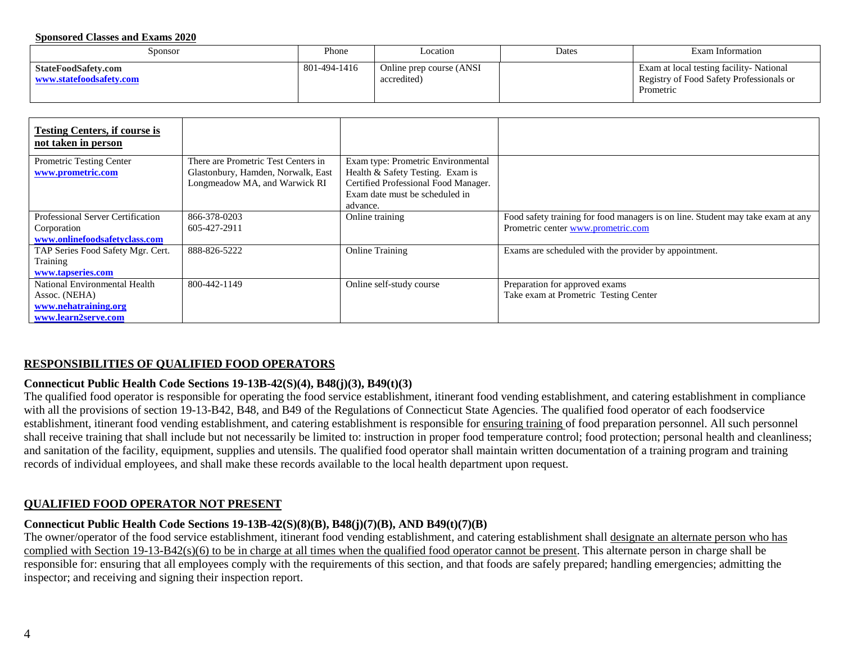#### **Sponsored Classes and Exams 2020**

| Sponsor                                        | Phone        | Location                                | Dates | Exam Information                                                                                 |
|------------------------------------------------|--------------|-----------------------------------------|-------|--------------------------------------------------------------------------------------------------|
| StateFoodSafety.com<br>www.statefoodsafety.com | 801-494-1416 | Online prep course (ANSI<br>accredited) |       | Exam at local testing facility-National<br>Registry of Food Safety Professionals or<br>Prometric |

| <b>Testing Centers, if course is</b><br>not taken in person                                   |                                                                                                            |                                                                                                                                                  |                                                                                 |
|-----------------------------------------------------------------------------------------------|------------------------------------------------------------------------------------------------------------|--------------------------------------------------------------------------------------------------------------------------------------------------|---------------------------------------------------------------------------------|
| Prometric Testing Center<br>www.prometric.com                                                 | There are Prometric Test Centers in<br>Glastonbury, Hamden, Norwalk, East<br>Longmeadow MA, and Warwick RI | Exam type: Prometric Environmental<br>Health & Safety Testing. Exam is<br>Certified Professional Food Manager.<br>Exam date must be scheduled in |                                                                                 |
|                                                                                               |                                                                                                            | advance.                                                                                                                                         |                                                                                 |
| <b>Professional Server Certification</b>                                                      | 866-378-0203                                                                                               | Online training                                                                                                                                  | Food safety training for food managers is on line. Student may take exam at any |
| Corporation<br>www.onlinefoodsafetyclass.com                                                  | 605-427-2911                                                                                               |                                                                                                                                                  | Prometric center www.prometric.com                                              |
| TAP Series Food Safety Mgr. Cert.<br>Training                                                 | 888-826-5222                                                                                               | <b>Online Training</b>                                                                                                                           | Exams are scheduled with the provider by appointment.                           |
| www.tapseries.com                                                                             |                                                                                                            |                                                                                                                                                  |                                                                                 |
| National Environmental Health<br>Assoc. (NEHA)<br>www.nehatraining.org<br>www.learn2serve.com | 800-442-1149                                                                                               | Online self-study course                                                                                                                         | Preparation for approved exams<br>Take exam at Prometric Testing Center         |

#### **RESPONSIBILITIES OF QUALIFIED FOOD OPERATORS**

#### **Connecticut Public Health Code Sections 19-13B-42(S)(4), B48(j)(3), B49(t)(3)**

The qualified food operator is responsible for operating the food service establishment, itinerant food vending establishment, and catering establishment in compliance with all the provisions of section 19-13-B42, B48, and B49 of the Regulations of Connecticut State Agencies. The qualified food operator of each foodservice establishment, itinerant food vending establishment, and catering establishment is responsible for ensuring training of food preparation personnel. All such personnel shall receive training that shall include but not necessarily be limited to: instruction in proper food temperature control; food protection; personal health and cleanliness; and sanitation of the facility, equipment, supplies and utensils. The qualified food operator shall maintain written documentation of a training program and training records of individual employees, and shall make these records available to the local health department upon request.

#### **QUALIFIED FOOD OPERATOR NOT PRESENT**

#### **Connecticut Public Health Code Sections 19-13B-42(S)(8)(B), B48(j)(7)(B), AND B49(t)(7)(B)**

The owner/operator of the food service establishment, itinerant food vending establishment, and catering establishment shall designate an alternate person who has complied with Section 19-13-B42(s)(6) to be in charge at all times when the qualified food operator cannot be present. This alternate person in charge shall be responsible for: ensuring that all employees comply with the requirements of this section, and that foods are safely prepared; handling emergencies; admitting the inspector; and receiving and signing their inspection report.